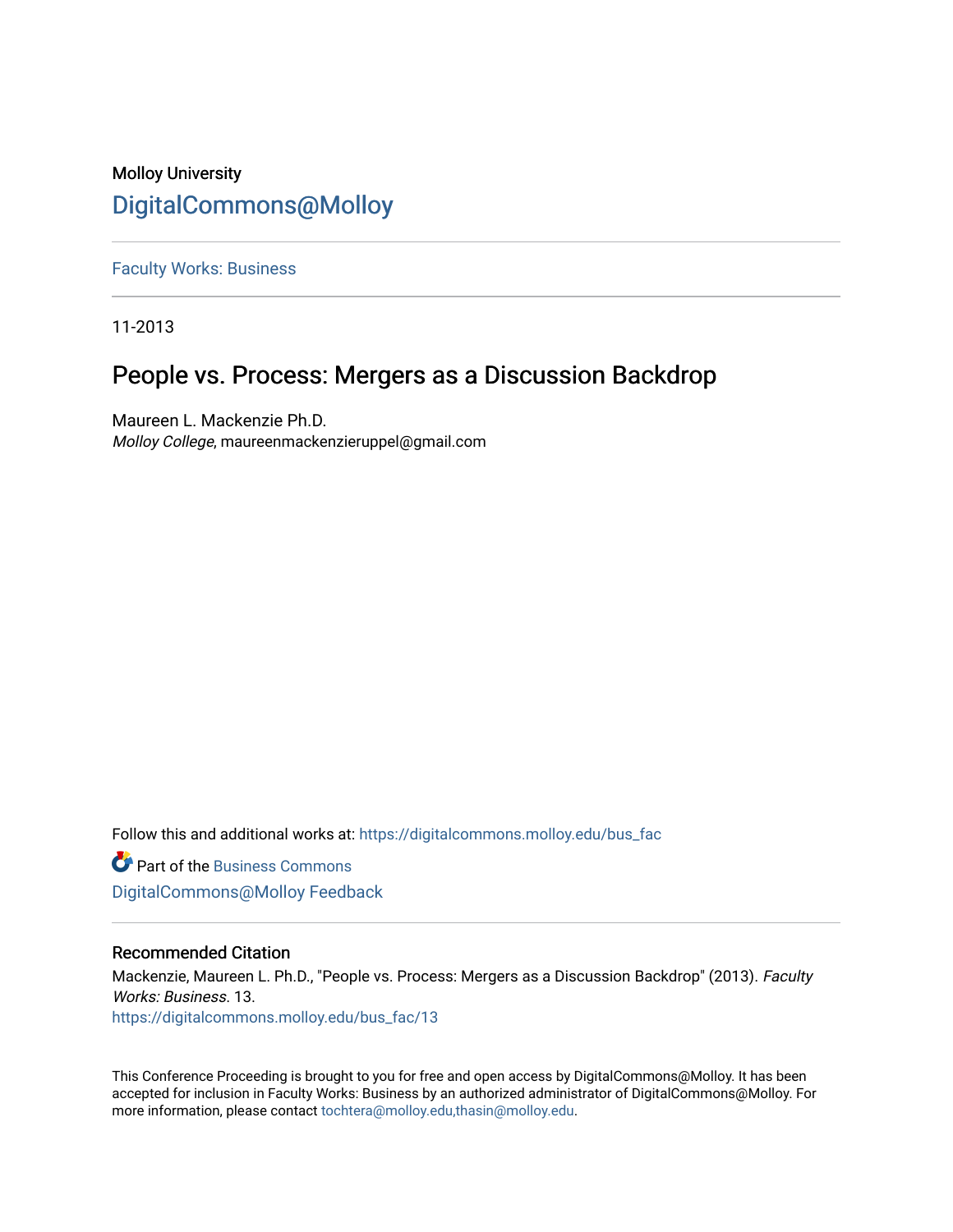## Molloy University [DigitalCommons@Molloy](https://digitalcommons.molloy.edu/)

[Faculty Works: Business](https://digitalcommons.molloy.edu/bus_fac) 

11-2013

# People vs. Process: Mergers as a Discussion Backdrop

Maureen L. Mackenzie Ph.D. Molloy College, maureenmackenzieruppel@gmail.com

Follow this and additional works at: [https://digitalcommons.molloy.edu/bus\\_fac](https://digitalcommons.molloy.edu/bus_fac?utm_source=digitalcommons.molloy.edu%2Fbus_fac%2F13&utm_medium=PDF&utm_campaign=PDFCoverPages)

**C** Part of the [Business Commons](https://network.bepress.com/hgg/discipline/622?utm_source=digitalcommons.molloy.edu%2Fbus_fac%2F13&utm_medium=PDF&utm_campaign=PDFCoverPages) [DigitalCommons@Molloy Feedback](https://molloy.libwizard.com/f/dcfeedback)

## Recommended Citation

Mackenzie, Maureen L. Ph.D., "People vs. Process: Mergers as a Discussion Backdrop" (2013). Faculty Works: Business. 13. [https://digitalcommons.molloy.edu/bus\\_fac/13](https://digitalcommons.molloy.edu/bus_fac/13?utm_source=digitalcommons.molloy.edu%2Fbus_fac%2F13&utm_medium=PDF&utm_campaign=PDFCoverPages) 

This Conference Proceeding is brought to you for free and open access by DigitalCommons@Molloy. It has been accepted for inclusion in Faculty Works: Business by an authorized administrator of DigitalCommons@Molloy. For more information, please contact [tochtera@molloy.edu,thasin@molloy.edu.](mailto:tochtera@molloy.edu,thasin@molloy.edu)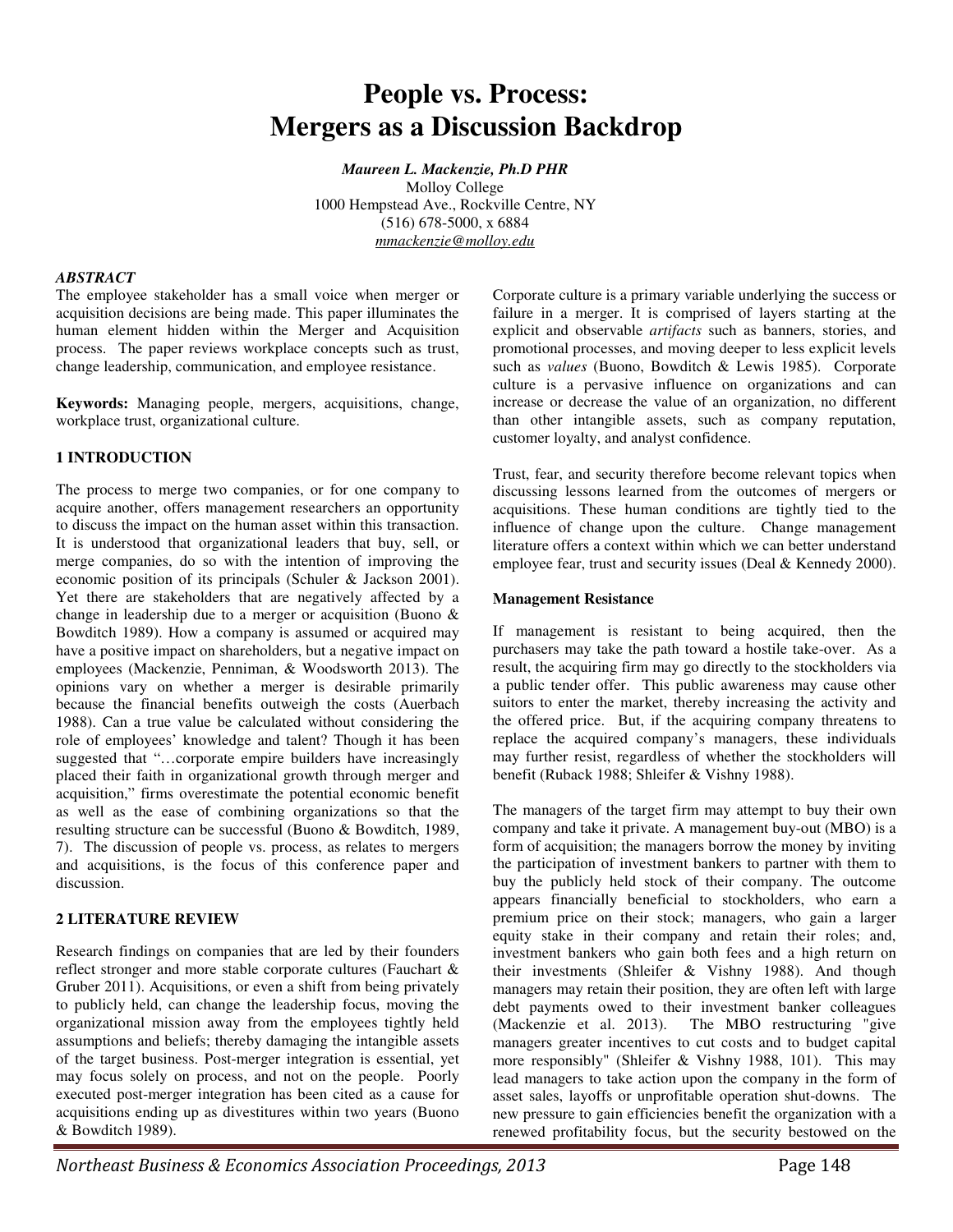# **People vs. Process: Mergers as a Discussion Backdrop**

*Maureen L. Mackenzie, Ph.D PHR* Molloy College 1000 Hempstead Ave., Rockville Centre, NY (516) 678-5000, x 6884 *mmackenzie@molloy.edu* 

#### *ABSTRACT*

The employee stakeholder has a small voice when merger or acquisition decisions are being made. This paper illuminates the human element hidden within the Merger and Acquisition process. The paper reviews workplace concepts such as trust, change leadership, communication, and employee resistance.

**Keywords:** Managing people, mergers, acquisitions, change, workplace trust, organizational culture.

#### **1 INTRODUCTION**

The process to merge two companies, or for one company to acquire another, offers management researchers an opportunity to discuss the impact on the human asset within this transaction. It is understood that organizational leaders that buy, sell, or merge companies, do so with the intention of improving the economic position of its principals (Schuler & Jackson 2001). Yet there are stakeholders that are negatively affected by a change in leadership due to a merger or acquisition (Buono & Bowditch 1989). How a company is assumed or acquired may have a positive impact on shareholders, but a negative impact on employees (Mackenzie, Penniman, & Woodsworth 2013). The opinions vary on whether a merger is desirable primarily because the financial benefits outweigh the costs (Auerbach 1988). Can a true value be calculated without considering the role of employees' knowledge and talent? Though it has been suggested that "…corporate empire builders have increasingly placed their faith in organizational growth through merger and acquisition," firms overestimate the potential economic benefit as well as the ease of combining organizations so that the resulting structure can be successful (Buono & Bowditch, 1989, 7). The discussion of people vs. process, as relates to mergers and acquisitions, is the focus of this conference paper and discussion.

#### **2 LITERATURE REVIEW**

Research findings on companies that are led by their founders reflect stronger and more stable corporate cultures (Fauchart & Gruber 2011). Acquisitions, or even a shift from being privately to publicly held, can change the leadership focus, moving the organizational mission away from the employees tightly held assumptions and beliefs; thereby damaging the intangible assets of the target business. Post-merger integration is essential, yet may focus solely on process, and not on the people. Poorly executed post-merger integration has been cited as a cause for acquisitions ending up as divestitures within two years (Buono & Bowditch 1989).

Corporate culture is a primary variable underlying the success or failure in a merger. It is comprised of layers starting at the explicit and observable *artifacts* such as banners, stories, and promotional processes, and moving deeper to less explicit levels such as *values* (Buono, Bowditch & Lewis 1985). Corporate culture is a pervasive influence on organizations and can increase or decrease the value of an organization, no different than other intangible assets, such as company reputation, customer loyalty, and analyst confidence.

Trust, fear, and security therefore become relevant topics when discussing lessons learned from the outcomes of mergers or acquisitions. These human conditions are tightly tied to the influence of change upon the culture. Change management literature offers a context within which we can better understand employee fear, trust and security issues (Deal & Kennedy 2000).

#### **Management Resistance**

If management is resistant to being acquired, then the purchasers may take the path toward a hostile take-over. As a result, the acquiring firm may go directly to the stockholders via a public tender offer. This public awareness may cause other suitors to enter the market, thereby increasing the activity and the offered price. But, if the acquiring company threatens to replace the acquired company's managers, these individuals may further resist, regardless of whether the stockholders will benefit (Ruback 1988; Shleifer & Vishny 1988).

The managers of the target firm may attempt to buy their own company and take it private. A management buy-out (MBO) is a form of acquisition; the managers borrow the money by inviting the participation of investment bankers to partner with them to buy the publicly held stock of their company. The outcome appears financially beneficial to stockholders, who earn a premium price on their stock; managers, who gain a larger equity stake in their company and retain their roles; and, investment bankers who gain both fees and a high return on their investments (Shleifer & Vishny 1988). And though managers may retain their position, they are often left with large debt payments owed to their investment banker colleagues (Mackenzie et al. 2013). The MBO restructuring "give managers greater incentives to cut costs and to budget capital more responsibly" (Shleifer & Vishny 1988, 101). This may lead managers to take action upon the company in the form of asset sales, layoffs or unprofitable operation shut-downs. The new pressure to gain efficiencies benefit the organization with a renewed profitability focus, but the security bestowed on the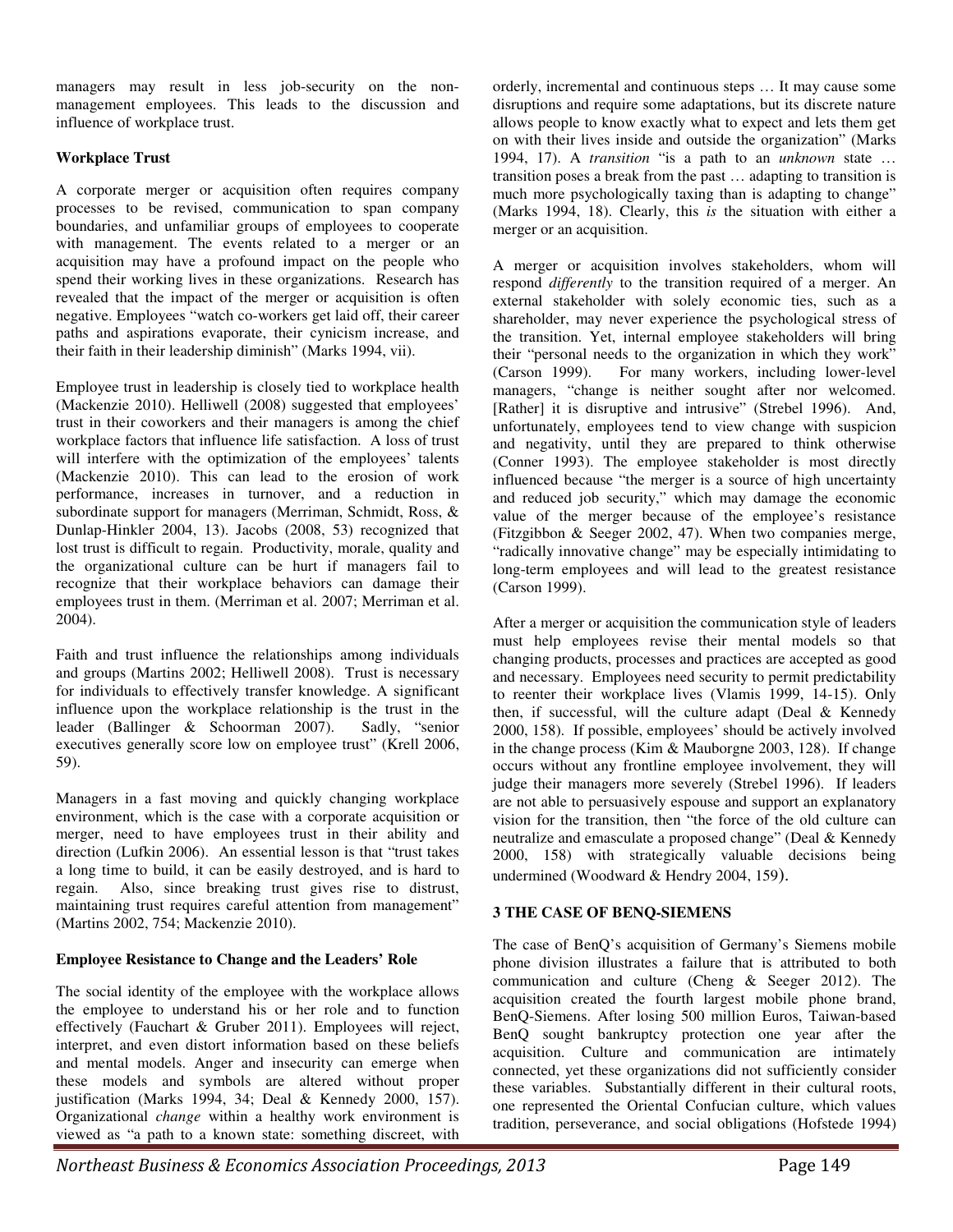managers may result in less job-security on the nonmanagement employees. This leads to the discussion and influence of workplace trust.

## **Workplace Trust**

A corporate merger or acquisition often requires company processes to be revised, communication to span company boundaries, and unfamiliar groups of employees to cooperate with management. The events related to a merger or an acquisition may have a profound impact on the people who spend their working lives in these organizations. Research has revealed that the impact of the merger or acquisition is often negative. Employees "watch co-workers get laid off, their career paths and aspirations evaporate, their cynicism increase, and their faith in their leadership diminish" (Marks 1994, vii).

Employee trust in leadership is closely tied to workplace health (Mackenzie 2010). Helliwell (2008) suggested that employees' trust in their coworkers and their managers is among the chief workplace factors that influence life satisfaction. A loss of trust will interfere with the optimization of the employees' talents (Mackenzie 2010). This can lead to the erosion of work performance, increases in turnover, and a reduction in subordinate support for managers (Merriman, Schmidt, Ross, & Dunlap-Hinkler 2004, 13). Jacobs (2008, 53) recognized that lost trust is difficult to regain. Productivity, morale, quality and the organizational culture can be hurt if managers fail to recognize that their workplace behaviors can damage their employees trust in them. (Merriman et al. 2007; Merriman et al. 2004).

Faith and trust influence the relationships among individuals and groups (Martins 2002; Helliwell 2008). Trust is necessary for individuals to effectively transfer knowledge. A significant influence upon the workplace relationship is the trust in the leader (Ballinger & Schoorman 2007). Sadly, "senior executives generally score low on employee trust" (Krell 2006, 59).

Managers in a fast moving and quickly changing workplace environment, which is the case with a corporate acquisition or merger, need to have employees trust in their ability and direction (Lufkin 2006). An essential lesson is that "trust takes a long time to build, it can be easily destroyed, and is hard to regain. Also, since breaking trust gives rise to distrust, maintaining trust requires careful attention from management" (Martins 2002, 754; Mackenzie 2010).

## **Employee Resistance to Change and the Leaders' Role**

The social identity of the employee with the workplace allows the employee to understand his or her role and to function effectively (Fauchart & Gruber 2011). Employees will reject, interpret, and even distort information based on these beliefs and mental models. Anger and insecurity can emerge when these models and symbols are altered without proper justification (Marks 1994, 34; Deal & Kennedy 2000, 157). Organizational *change* within a healthy work environment is viewed as "a path to a known state: something discreet, with

orderly, incremental and continuous steps … It may cause some disruptions and require some adaptations, but its discrete nature allows people to know exactly what to expect and lets them get on with their lives inside and outside the organization" (Marks 1994, 17). A *transition* "is a path to an *unknown* state … transition poses a break from the past … adapting to transition is much more psychologically taxing than is adapting to change" (Marks 1994, 18). Clearly, this *is* the situation with either a merger or an acquisition.

A merger or acquisition involves stakeholders, whom will respond *differently* to the transition required of a merger. An external stakeholder with solely economic ties, such as a shareholder, may never experience the psychological stress of the transition. Yet, internal employee stakeholders will bring their "personal needs to the organization in which they work" (Carson 1999). For many workers, including lower-level managers, "change is neither sought after nor welcomed. [Rather] it is disruptive and intrusive" (Strebel 1996). And, unfortunately, employees tend to view change with suspicion and negativity, until they are prepared to think otherwise (Conner 1993). The employee stakeholder is most directly influenced because "the merger is a source of high uncertainty and reduced job security," which may damage the economic value of the merger because of the employee's resistance (Fitzgibbon & Seeger 2002, 47). When two companies merge, "radically innovative change" may be especially intimidating to long-term employees and will lead to the greatest resistance (Carson 1999).

After a merger or acquisition the communication style of leaders must help employees revise their mental models so that changing products, processes and practices are accepted as good and necessary. Employees need security to permit predictability to reenter their workplace lives (Vlamis 1999, 14-15). Only then, if successful, will the culture adapt (Deal & Kennedy 2000, 158). If possible, employees' should be actively involved in the change process (Kim & Mauborgne 2003, 128). If change occurs without any frontline employee involvement, they will judge their managers more severely (Strebel 1996). If leaders are not able to persuasively espouse and support an explanatory vision for the transition, then "the force of the old culture can neutralize and emasculate a proposed change" (Deal & Kennedy 2000, 158) with strategically valuable decisions being undermined (Woodward & Hendry 2004, 159).

## **3 THE CASE OF BENQ-SIEMENS**

The case of BenQ's acquisition of Germany's Siemens mobile phone division illustrates a failure that is attributed to both communication and culture (Cheng & Seeger 2012). The acquisition created the fourth largest mobile phone brand, BenQ-Siemens. After losing 500 million Euros, Taiwan-based BenQ sought bankruptcy protection one year after the acquisition. Culture and communication are intimately connected, yet these organizations did not sufficiently consider these variables. Substantially different in their cultural roots, one represented the Oriental Confucian culture, which values tradition, perseverance, and social obligations (Hofstede 1994)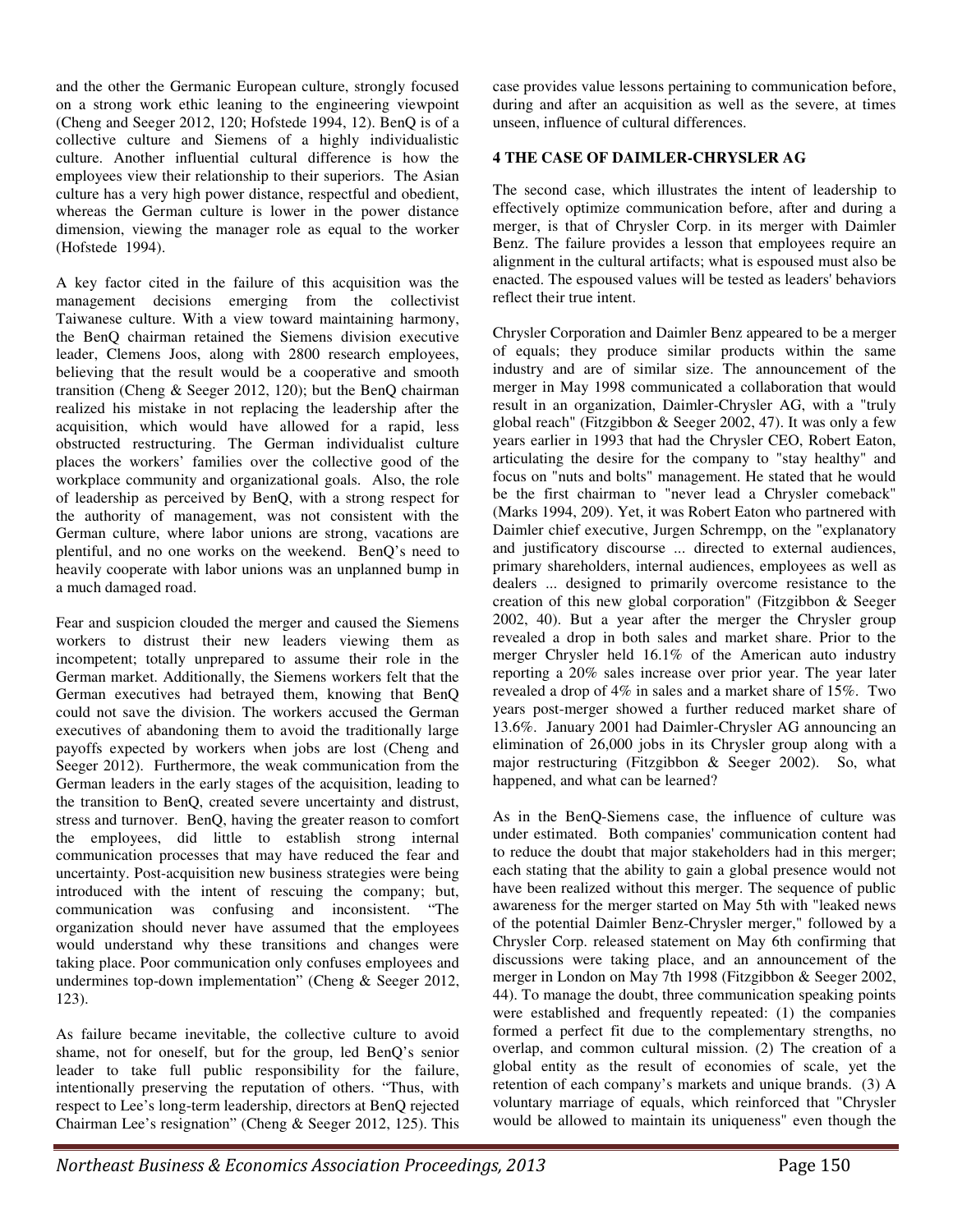and the other the Germanic European culture, strongly focused on a strong work ethic leaning to the engineering viewpoint (Cheng and Seeger 2012, 120; Hofstede 1994, 12). BenQ is of a collective culture and Siemens of a highly individualistic culture. Another influential cultural difference is how the employees view their relationship to their superiors. The Asian culture has a very high power distance, respectful and obedient, whereas the German culture is lower in the power distance dimension, viewing the manager role as equal to the worker (Hofstede 1994).

A key factor cited in the failure of this acquisition was the management decisions emerging from the collectivist Taiwanese culture. With a view toward maintaining harmony, the BenQ chairman retained the Siemens division executive leader, Clemens Joos, along with 2800 research employees, believing that the result would be a cooperative and smooth transition (Cheng & Seeger 2012, 120); but the BenQ chairman realized his mistake in not replacing the leadership after the acquisition, which would have allowed for a rapid, less obstructed restructuring. The German individualist culture places the workers' families over the collective good of the workplace community and organizational goals. Also, the role of leadership as perceived by BenQ, with a strong respect for the authority of management, was not consistent with the German culture, where labor unions are strong, vacations are plentiful, and no one works on the weekend. BenQ's need to heavily cooperate with labor unions was an unplanned bump in a much damaged road.

Fear and suspicion clouded the merger and caused the Siemens workers to distrust their new leaders viewing them as incompetent; totally unprepared to assume their role in the German market. Additionally, the Siemens workers felt that the German executives had betrayed them, knowing that BenQ could not save the division. The workers accused the German executives of abandoning them to avoid the traditionally large payoffs expected by workers when jobs are lost (Cheng and Seeger 2012). Furthermore, the weak communication from the German leaders in the early stages of the acquisition, leading to the transition to BenQ, created severe uncertainty and distrust, stress and turnover. BenQ, having the greater reason to comfort the employees, did little to establish strong internal communication processes that may have reduced the fear and uncertainty. Post-acquisition new business strategies were being introduced with the intent of rescuing the company; but, communication was confusing and inconsistent. "The organization should never have assumed that the employees would understand why these transitions and changes were taking place. Poor communication only confuses employees and undermines top-down implementation" (Cheng & Seeger 2012, 123).

As failure became inevitable, the collective culture to avoid shame, not for oneself, but for the group, led BenQ's senior leader to take full public responsibility for the failure, intentionally preserving the reputation of others. "Thus, with respect to Lee's long-term leadership, directors at BenQ rejected Chairman Lee's resignation" (Cheng & Seeger 2012, 125). This case provides value lessons pertaining to communication before, during and after an acquisition as well as the severe, at times unseen, influence of cultural differences.

## **4 THE CASE OF DAIMLER-CHRYSLER AG**

The second case, which illustrates the intent of leadership to effectively optimize communication before, after and during a merger, is that of Chrysler Corp. in its merger with Daimler Benz. The failure provides a lesson that employees require an alignment in the cultural artifacts; what is espoused must also be enacted. The espoused values will be tested as leaders' behaviors reflect their true intent.

Chrysler Corporation and Daimler Benz appeared to be a merger of equals; they produce similar products within the same industry and are of similar size. The announcement of the merger in May 1998 communicated a collaboration that would result in an organization, Daimler-Chrysler AG, with a "truly global reach" (Fitzgibbon & Seeger 2002, 47). It was only a few years earlier in 1993 that had the Chrysler CEO, Robert Eaton, articulating the desire for the company to "stay healthy" and focus on "nuts and bolts" management. He stated that he would be the first chairman to "never lead a Chrysler comeback" (Marks 1994, 209). Yet, it was Robert Eaton who partnered with Daimler chief executive, Jurgen Schrempp, on the "explanatory and justificatory discourse ... directed to external audiences, primary shareholders, internal audiences, employees as well as dealers ... designed to primarily overcome resistance to the creation of this new global corporation" (Fitzgibbon & Seeger 2002, 40). But a year after the merger the Chrysler group revealed a drop in both sales and market share. Prior to the merger Chrysler held 16.1% of the American auto industry reporting a 20% sales increase over prior year. The year later revealed a drop of 4% in sales and a market share of 15%. Two years post-merger showed a further reduced market share of 13.6%. January 2001 had Daimler-Chrysler AG announcing an elimination of 26,000 jobs in its Chrysler group along with a major restructuring (Fitzgibbon & Seeger 2002). So, what happened, and what can be learned?

As in the BenQ-Siemens case, the influence of culture was under estimated. Both companies' communication content had to reduce the doubt that major stakeholders had in this merger; each stating that the ability to gain a global presence would not have been realized without this merger. The sequence of public awareness for the merger started on May 5th with "leaked news of the potential Daimler Benz-Chrysler merger," followed by a Chrysler Corp. released statement on May 6th confirming that discussions were taking place, and an announcement of the merger in London on May 7th 1998 (Fitzgibbon & Seeger 2002, 44). To manage the doubt, three communication speaking points were established and frequently repeated: (1) the companies formed a perfect fit due to the complementary strengths, no overlap, and common cultural mission. (2) The creation of a global entity as the result of economies of scale, yet the retention of each company's markets and unique brands. (3) A voluntary marriage of equals, which reinforced that "Chrysler would be allowed to maintain its uniqueness" even though the